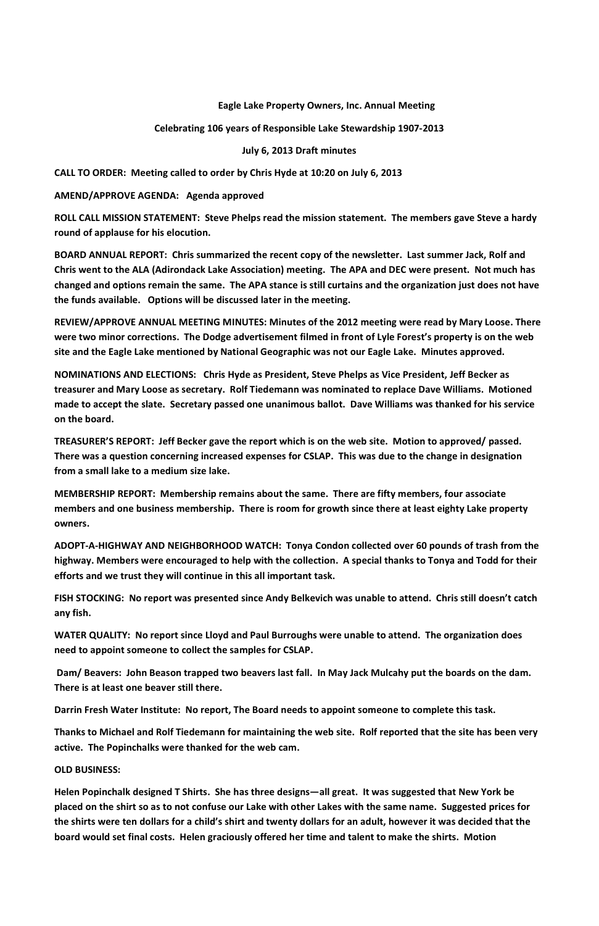## **Eagle Lake Property Owners, Inc. Annual Meeting**

**Celebrating 106 years of Responsible Lake Stewardship 1907-2013**

**July 6, 2013 Draft minutes**

**CALL TO ORDER: Meeting called to order by Chris Hyde at 10:20 on July 6, 2013**

**AMEND/APPROVE AGENDA: Agenda approved**

**ROLL CALL MISSION STATEMENT: Steve Phelps read the mission statement. The members gave Steve a hardy round of applause for his elocution.**

**BOARD ANNUAL REPORT: Chris summarized the recent copy of the newsletter. Last summer Jack, Rolf and Chris went to the ALA (Adirondack Lake Association) meeting. The APA and DEC were present. Not much has changed and options remain the same. The APA stance is still curtains and the organization just does not have the funds available. Options will be discussed later in the meeting.**

**REVIEW/APPROVE ANNUAL MEETING MINUTES: Minutes of the 2012 meeting were read by Mary Loose. There were two minor corrections. The Dodge advertisement filmed in front of Lyle Forest's property is on the web site and the Eagle Lake mentioned by National Geographic was not our Eagle Lake. Minutes approved.** 

**NOMINATIONS AND ELECTIONS: Chris Hyde as President, Steve Phelps as Vice President, Jeff Becker as treasurer and Mary Loose as secretary. Rolf Tiedemann was nominated to replace Dave Williams. Motioned made to accept the slate. Secretary passed one unanimous ballot. Dave Williams was thanked for his service on the board.**

**TREASURER'S REPORT: Jeff Becker gave the report which is on the web site. Motion to approved/ passed. There was a question concerning increased expenses for CSLAP. This was due to the change in designation from a small lake to a medium size lake.**

**MEMBERSHIP REPORT: Membership remains about the same. There are fifty members, four associate members and one business membership. There is room for growth since there at least eighty Lake property owners.**

**ADOPT-A-HIGHWAY AND NEIGHBORHOOD WATCH: Tonya Condon collected over 60 pounds of trash from the highway. Members were encouraged to help with the collection. A special thanks to Tonya and Todd for their efforts and we trust they will continue in this all important task.**

**FISH STOCKING: No report was presented since Andy Belkevich was unable to attend. Chris still doesn't catch any fish.** 

**WATER QUALITY: No report since Lloyd and Paul Burroughs were unable to attend. The organization does need to appoint someone to collect the samples for CSLAP.**

**Dam/ Beavers: John Beason trapped two beavers last fall. In May Jack Mulcahy put the boards on the dam.** 

## **There is at least one beaver still there.**

**Darrin Fresh Water Institute: No report, The Board needs to appoint someone to complete this task.**

**Thanks to Michael and Rolf Tiedemann for maintaining the web site. Rolf reported that the site has been very active. The Popinchalks were thanked for the web cam.**

### **OLD BUSINESS:**

**Helen Popinchalk designed T Shirts. She has three designs—all great. It was suggested that New York be placed on the shirt so as to not confuse our Lake with other Lakes with the same name. Suggested prices for the shirts were ten dollars for a child's shirt and twenty dollars for an adult, however it was decided that the board would set final costs. Helen graciously offered her time and talent to make the shirts. Motion**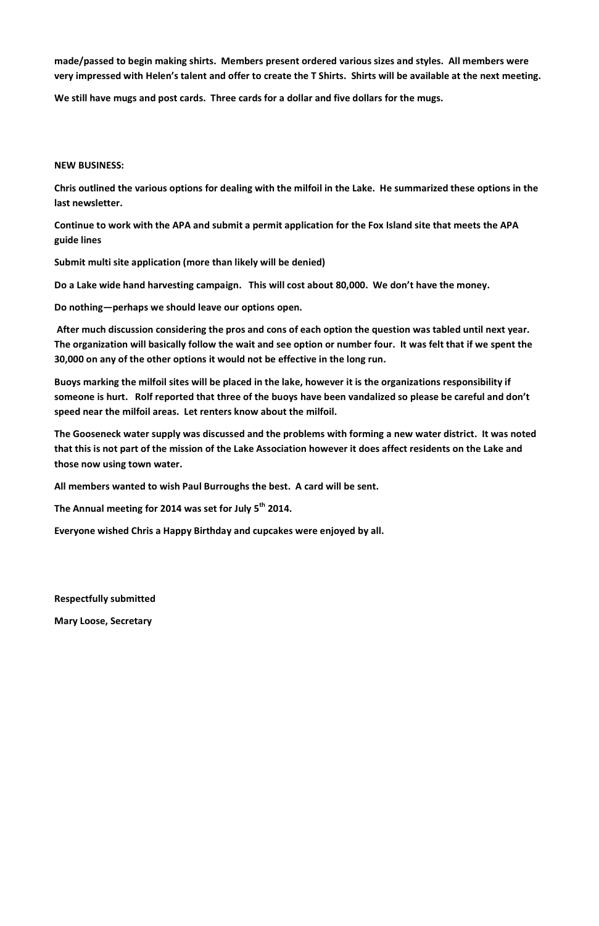**made/passed to begin making shirts. Members present ordered various sizes and styles. All members were very impressed with Helen's talent and offer to create the T Shirts. Shirts will be available at the next meeting.**

**We still have mugs and post cards. Three cards for a dollar and five dollars for the mugs.**

# **NEW BUSINESS:**

**Chris outlined the various options for dealing with the milfoil in the Lake. He summarized these options in the last newsletter.**

**Continue to work with the APA and submit a permit application for the Fox Island site that meets the APA guide lines**

**Submit multi site application (more than likely will be denied)**

**Do a Lake wide hand harvesting campaign. This will cost about 80,000. We don't have the money.**

**Do nothing—perhaps we should leave our options open.** 

**After much discussion considering the pros and cons of each option the question was tabled until next year. The organization will basically follow the wait and see option or number four. It was felt that if we spent the 30,000 on any of the other options it would not be effective in the long run.** 

**Buoys marking the milfoil sites will be placed in the lake, however it is the organizations responsibility if someone is hurt. Rolf reported that three of the buoys have been vandalized so please be careful and don't speed near the milfoil areas. Let renters know about the milfoil.**

**The Gooseneck water supply was discussed and the problems with forming a new water district. It was noted that this is not part of the mission of the Lake Association however it does affect residents on the Lake and those now using town water.**

**All members wanted to wish Paul Burroughs the best. A card will be sent.**

**The Annual meeting for 2014 was set for July 5th 2014.**

**Everyone wished Chris a Happy Birthday and cupcakes were enjoyed by all.**

**Respectfully submitted**

**Mary Loose, Secretary**